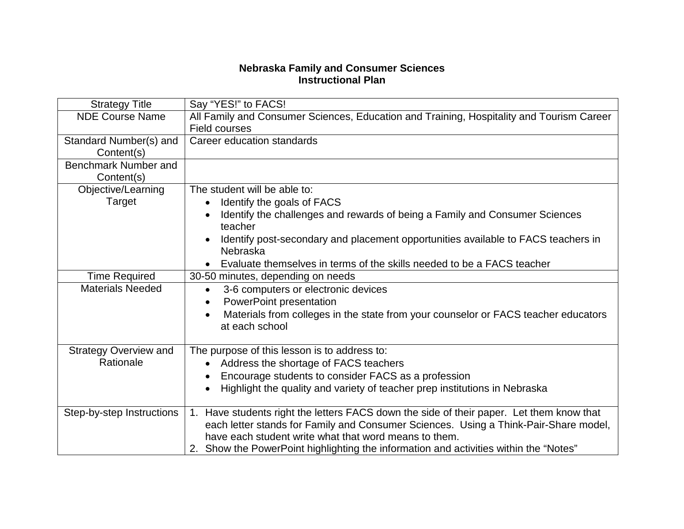## **Nebraska Family and Consumer Sciences Instructional Plan**

| <b>Strategy Title</b>        | Say "YES!" to FACS!                                                                                                                           |
|------------------------------|-----------------------------------------------------------------------------------------------------------------------------------------------|
| <b>NDE Course Name</b>       | All Family and Consumer Sciences, Education and Training, Hospitality and Tourism Career                                                      |
|                              | <b>Field courses</b>                                                                                                                          |
| Standard Number(s) and       | Career education standards                                                                                                                    |
| Content(s)                   |                                                                                                                                               |
| <b>Benchmark Number and</b>  |                                                                                                                                               |
| Content(s)                   |                                                                                                                                               |
| Objective/Learning           | The student will be able to:                                                                                                                  |
| Target                       | Identify the goals of FACS                                                                                                                    |
|                              | Identify the challenges and rewards of being a Family and Consumer Sciences<br>teacher                                                        |
|                              | Identify post-secondary and placement opportunities available to FACS teachers in<br>Nebraska                                                 |
|                              | Evaluate themselves in terms of the skills needed to be a FACS teacher                                                                        |
| <b>Time Required</b>         | 30-50 minutes, depending on needs                                                                                                             |
| <b>Materials Needed</b>      | 3-6 computers or electronic devices<br>$\bullet$                                                                                              |
|                              | <b>PowerPoint presentation</b><br>$\bullet$                                                                                                   |
|                              | Materials from colleges in the state from your counselor or FACS teacher educators<br>$\bullet$<br>at each school                             |
| <b>Strategy Overview and</b> | The purpose of this lesson is to address to:                                                                                                  |
| Rationale                    | • Address the shortage of FACS teachers                                                                                                       |
|                              | Encourage students to consider FACS as a profession<br>$\bullet$                                                                              |
|                              | Highlight the quality and variety of teacher prep institutions in Nebraska                                                                    |
| Step-by-step Instructions    | 1. Have students right the letters FACS down the side of their paper. Let them know that                                                      |
|                              | each letter stands for Family and Consumer Sciences. Using a Think-Pair-Share model,<br>have each student write what that word means to them. |
|                              | 2. Show the PowerPoint highlighting the information and activities within the "Notes"                                                         |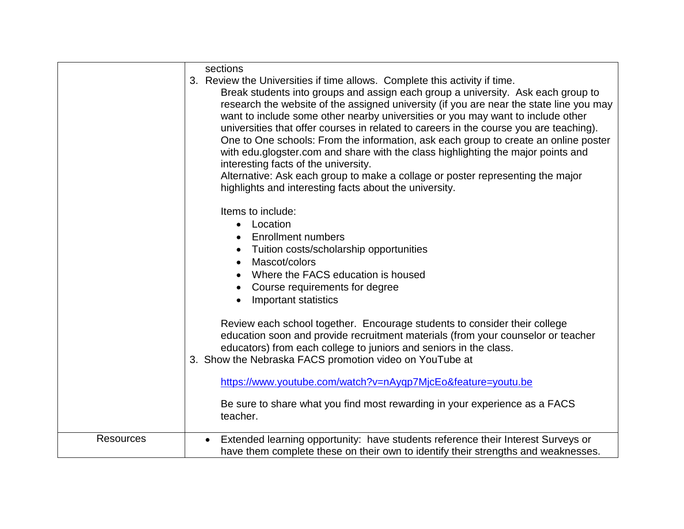|                  | sections<br>3. Review the Universities if time allows. Complete this activity if time.<br>Break students into groups and assign each group a university. Ask each group to<br>research the website of the assigned university (if you are near the state line you may<br>want to include some other nearby universities or you may want to include other<br>universities that offer courses in related to careers in the course you are teaching).<br>One to One schools: From the information, ask each group to create an online poster<br>with edu glogster com and share with the class highlighting the major points and<br>interesting facts of the university.<br>Alternative: Ask each group to make a collage or poster representing the major<br>highlights and interesting facts about the university. |
|------------------|-------------------------------------------------------------------------------------------------------------------------------------------------------------------------------------------------------------------------------------------------------------------------------------------------------------------------------------------------------------------------------------------------------------------------------------------------------------------------------------------------------------------------------------------------------------------------------------------------------------------------------------------------------------------------------------------------------------------------------------------------------------------------------------------------------------------|
|                  | Items to include:<br>• Location<br><b>Enrollment numbers</b><br>Tuition costs/scholarship opportunities<br>Mascot/colors<br>$\bullet$<br>Where the FACS education is housed<br>Course requirements for degree<br><b>Important statistics</b>                                                                                                                                                                                                                                                                                                                                                                                                                                                                                                                                                                      |
|                  | Review each school together. Encourage students to consider their college<br>education soon and provide recruitment materials (from your counselor or teacher<br>educators) from each college to juniors and seniors in the class.<br>3. Show the Nebraska FACS promotion video on YouTube at<br>https://www.youtube.com/watch?v=nAyqp7MjcEo&feature=youtu.be                                                                                                                                                                                                                                                                                                                                                                                                                                                     |
|                  | Be sure to share what you find most rewarding in your experience as a FACS<br>teacher.                                                                                                                                                                                                                                                                                                                                                                                                                                                                                                                                                                                                                                                                                                                            |
| <b>Resources</b> | Extended learning opportunity: have students reference their Interest Surveys or<br>have them complete these on their own to identify their strengths and weaknesses.                                                                                                                                                                                                                                                                                                                                                                                                                                                                                                                                                                                                                                             |